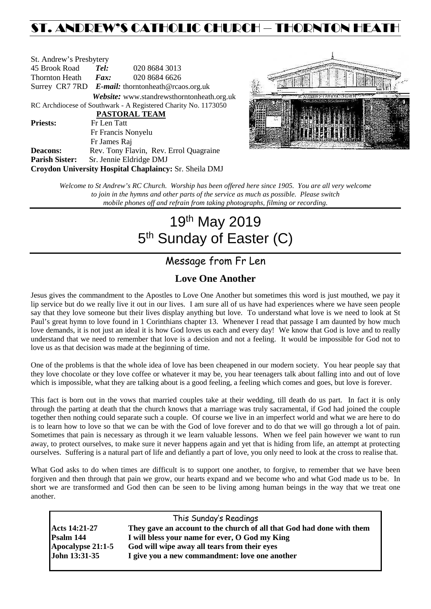## ST. ANDREW'S CATHOLIC CHURCH – THORNTON HEAT

| St. Andrew's Presbytery |                                                   |                                                                |  |  |  |  |
|-------------------------|---------------------------------------------------|----------------------------------------------------------------|--|--|--|--|
| 45 Brook Road           | Tel:                                              | 020 8684 3013                                                  |  |  |  |  |
| Thornton Heath          | Fax:                                              | 020 8684 6626                                                  |  |  |  |  |
|                         | Surrey CR7 7RD E-mail: thorntonheath@rcaos.org.uk |                                                                |  |  |  |  |
|                         |                                                   | <b>Website:</b> www.standrewsthorntonheath.org.uk              |  |  |  |  |
|                         |                                                   | RC Archdiocese of Southwark - A Registered Charity No. 1173050 |  |  |  |  |
|                         |                                                   | <b>PASTORAL TEAM</b>                                           |  |  |  |  |
| <b>Priests:</b>         | Fr Len Tatt                                       |                                                                |  |  |  |  |
| Fr Francis Nonyelu      |                                                   |                                                                |  |  |  |  |
|                         | Fr James Raj                                      |                                                                |  |  |  |  |
| <b>Deacons:</b>         |                                                   | Rev. Tony Flavin, Rev. Errol Quagraine                         |  |  |  |  |
| <b>Parish Sister:</b>   |                                                   | Sr. Jennie Eldridge DMJ                                        |  |  |  |  |
|                         |                                                   | Croydon University Hospital Chaplaincy: Sr. Sheila DMJ         |  |  |  |  |



*Welcome to St Andrew's RC Church. Worship has been offered here since 1905. You are all very welcome to join in the hymns and other parts of the service as much as possible. Please switch mobile phones off and refrain from taking photographs, filming or recording.*

# 19th May 2019 5<sup>th</sup> Sunday of Easter (C)

## Message from Fr Len

### **Love One Another**

Jesus gives the commandment to the Apostles to Love One Another but sometimes this word is just mouthed, we pay it lip service but do we really live it out in our lives. I am sure all of us have had experiences where we have seen people say that they love someone but their lives display anything but love. To understand what love is we need to look at St Paul's great hymn to love found in 1 Corinthians chapter 13. Whenever I read that passage I am daunted by how much love demands, it is not just an ideal it is how God loves us each and every day! We know that God is love and to really understand that we need to remember that love is a decision and not a feeling. It would be impossible for God not to love us as that decision was made at the beginning of time.

One of the problems is that the whole idea of love has been cheapened in our modern society. You hear people say that they love chocolate or they love coffee or whatever it may be, you hear teenagers talk about falling into and out of love which is impossible, what they are talking about is a good feeling, a feeling which comes and goes, but love is forever.

This fact is born out in the vows that married couples take at their wedding, till death do us part. In fact it is only through the parting at death that the church knows that a marriage was truly sacramental, if God had joined the couple together then nothing could separate such a couple. Of course we live in an imperfect world and what we are here to do is to learn how to love so that we can be with the God of love forever and to do that we will go through a lot of pain. Sometimes that pain is necessary as through it we learn valuable lessons. When we feel pain however we want to run away, to protect ourselves, to make sure it never happens again and yet that is hiding from life, an attempt at protecting ourselves. Suffering is a natural part of life and defiantly a part of love, you only need to look at the cross to realise that.

What God asks to do when times are difficult is to support one another, to forgive, to remember that we have been forgiven and then through that pain we grow, our hearts expand and we become who and what God made us to be. In short we are transformed and God then can be seen to be living among human beings in the way that we treat one another.

| This Sunday's Readings |                                                                       |  |  |  |
|------------------------|-----------------------------------------------------------------------|--|--|--|
| <b>Acts 14:21-27</b>   | They gave an account to the church of all that God had done with them |  |  |  |
| Psalm 144              | I will bless your name for ever, O God my King                        |  |  |  |
| Apocalypse 21:1-5      | God will wipe away all tears from their eyes                          |  |  |  |
| John 13:31-35          | I give you a new commandment: love one another                        |  |  |  |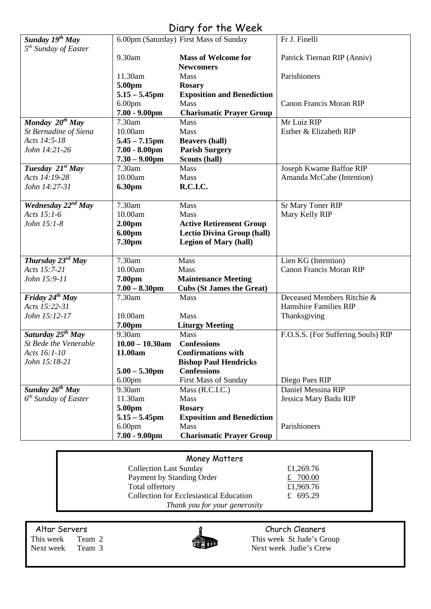## Diary for the Week

|                                                                 |                    | $1.41$ $1.41$ $1.10$ $1.10$            |                                    |
|-----------------------------------------------------------------|--------------------|----------------------------------------|------------------------------------|
| Sunday 19 <sup>th</sup> May<br>5 <sup>th</sup> Sunday of Easter |                    | 6.00pm (Saturday) First Mass of Sunday | Fr J. Finelli                      |
|                                                                 | 9.30am             | <b>Mass of Welcome for</b>             | Patrick Tiernan RIP (Anniv)        |
|                                                                 |                    | <b>Newcomers</b>                       |                                    |
|                                                                 | 11.30am            | Mass                                   | Parishioners                       |
|                                                                 | 5.00pm             | <b>Rosary</b>                          |                                    |
|                                                                 | $5.15 - 5.45$ pm   | <b>Exposition and Benediction</b>      |                                    |
|                                                                 | 6.00 <sub>pm</sub> | Mass                                   | <b>Canon Francis Moran RIP</b>     |
|                                                                 | $7.00 - 9.00$ pm   | <b>Charismatic Prayer Group</b>        |                                    |
| Monday $20^{th}$ May                                            | 7.30am             | Mass                                   | Mr Luiz RIP                        |
| St Bernadine of Siena                                           | 10.00am            | Mass                                   | Esther & Elizabeth RIP             |
| Acts 14:5-18                                                    | $5.45 - 7.15$ pm   | <b>Beavers (hall)</b>                  |                                    |
| John 14:21-26                                                   | $7.00 - 8.00$ pm   | <b>Parish Surgery</b>                  |                                    |
|                                                                 | $7.30 - 9.00$ pm   | Scouts (hall)                          |                                    |
| Tuesday 21st May                                                | 7.30am             | Mass                                   | Joseph Kwame Baffoe RIP            |
| Acts 14:19-28                                                   | 10.00am            | Mass                                   | Amanda McCabe (Intention)          |
| John 14:27-31                                                   | <b>6.30pm</b>      | <b>R.C.I.C.</b>                        |                                    |
|                                                                 |                    |                                        |                                    |
| Wednesday $2^{\frac{nd}{2}May}$                                 | 7.30am             | Mass                                   | Sr Mary Toner RIP                  |
| Acts 15:1-6                                                     | 10.00am            | Mass                                   | Mary Kelly RIP                     |
| John 15:1-8                                                     | 2.00 <sub>pm</sub> | <b>Active Retirement Group</b>         |                                    |
|                                                                 | 6.00pm             | <b>Lectio Divina Group (hall)</b>      |                                    |
|                                                                 | 7.30pm             | <b>Legion of Mary (hall)</b>           |                                    |
| Thursday 23rd May                                               | 7.30am             | Mass                                   | Lien KG (Intention)                |
| Acts 15:7-21                                                    | 10.00am            | Mass                                   | <b>Canon Francis Moran RIP</b>     |
| John 15:9-11                                                    | 7.00pm             | <b>Maintenance Meeting</b>             |                                    |
|                                                                 | $7.00 - 8.30$ pm   | <b>Cubs (St James the Great)</b>       |                                    |
| Friday $24^{th}$ May                                            | 7.30am             | Mass                                   | Deceased Members Ritchie &         |
| Acts 15:22-31                                                   |                    |                                        | Hamshire Families RIP              |
| John 15:12-17                                                   | 10.00am            | Mass                                   | Thanksgiving                       |
|                                                                 | 7.00pm             | <b>Liturgy Meeting</b>                 |                                    |
| Saturday $25^{th}$ May                                          | 9.30am             | Mass                                   | F.O.S.S. (For Suffering Souls) RIP |
| St Bede the Venerable                                           | $10.00 - 10.30$ am | <b>Confessions</b>                     |                                    |
| Acts 16:1-10                                                    | 11.00am            | <b>Confirmations with</b>              |                                    |
| John 15:18-21                                                   |                    | <b>Bishop Paul Hendricks</b>           |                                    |
|                                                                 | $5.00 - 5.30$ pm   | <b>Confessions</b>                     |                                    |
|                                                                 | 6.00pm             | <b>First Mass of Sunday</b>            | Diego Paes RIP                     |
| Sunday $26^{th}$ May                                            | 9.30am             | Mass (R.C.I.C.)                        | Daniel Messina RIP                 |
| $6th$ Sunday of Easter                                          | 11.30am            | Mass                                   | Jessica Mary Badu RIP              |
|                                                                 | 5.00pm             | <b>Rosary</b>                          |                                    |
|                                                                 | $5.15 - 5.45$ pm   | <b>Exposition and Benediction</b>      |                                    |
|                                                                 | 6.00 <sub>pm</sub> | Mass                                   | Parishioners                       |
|                                                                 | $7.00 - 9.00$ pm   | <b>Charismatic Prayer Group</b>        |                                    |

Collection Last Sunday £1,269.76 Payment by Standing Order<br>
Total offertory<br>  $\frac{2700.00}{1.969.76}$ Total offertory Collection for Ecclesiastical Education £ 695.29 *Thank you for your generosity*

Altar Servers **Church Cleaners Church Cleaners** 



This week Team 2 This week St Jude's Group Next week Team 3 Next week Judie's Crew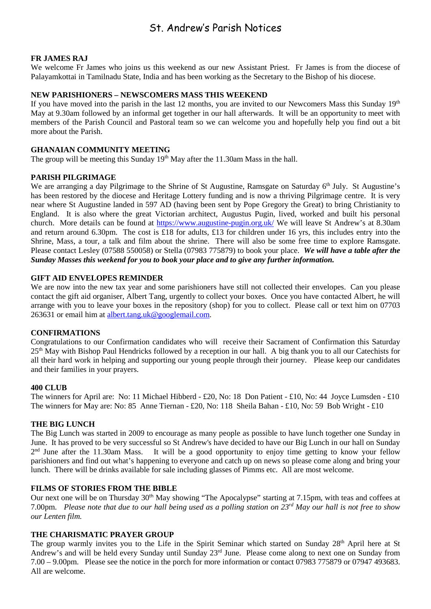### St. Andrew's Parish Notices

#### **FR JAMES RAJ**

We welcome Fr James who joins us this weekend as our new Assistant Priest. Fr James is from the diocese of Palayamkottai in Tamilnadu State, India and has been working as the Secretary to the Bishop of his diocese.

#### **NEW PARISHIONERS – NEWSCOMERS MASS THIS WEEKEND**

If you have moved into the parish in the last 12 months, you are invited to our Newcomers Mass this Sunday 19th May at 9.30am followed by an informal get together in our hall afterwards. It will be an opportunity to meet with members of the Parish Council and Pastoral team so we can welcome you and hopefully help you find out a bit more about the Parish.

#### **GHANAIAN COMMUNITY MEETING**

The group will be meeting this Sunday 19<sup>th</sup> May after the 11.30am Mass in the hall.

#### **PARISH PILGRIMAGE**

We are arranging a day Pilgrimage to the Shrine of St Augustine, Ramsgate on Saturday 6<sup>th</sup> July. St Augustine's has been restored by the diocese and Heritage Lottery funding and is now a thriving Pilgrimage centre. It is very near where St Augustine landed in 597 AD (having been sent by Pope Gregory the Great) to bring Christianity to England. It is also where the great Victorian architect, Augustus Pugin, lived, worked and built his personal church. More details can be found at<https://www.augustine-pugin.org.uk/> We will leave St Andrew's at 8.30am and return around 6.30pm. The cost is £18 for adults, £13 for children under 16 yrs, this includes entry into the Shrine, Mass, a tour, a talk and film about the shrine. There will also be some free time to explore Ramsgate. Please contact Lesley (07588 550058) or Stella (07983 775879) to book your place. *We will have a table after the Sunday Masses this weekend for you to book your place and to give any further information.*

#### **GIFT AID ENVELOPES REMINDER**

We are now into the new tax year and some parishioners have still not collected their envelopes. Can you please contact the gift aid organiser, Albert Tang, urgently to collect your boxes. Once you have contacted Albert, he will arrange with you to leave your boxes in the repository (shop) for you to collect. Please call or text him on 07703 263631 or email him at [albert.tang.uk@googlemail.com.](mailto:albert.tang.uk@googlemail.com)

#### **CONFIRMATIONS**

Congratulations to our Confirmation candidates who will receive their Sacrament of Confirmation this Saturday 25th May with Bishop Paul Hendricks followed by a reception in our hall. A big thank you to all our Catechists for all their hard work in helping and supporting our young people through their journey. Please keep our candidates and their families in your prayers.

#### **400 CLUB**

The winners for April are: No: 11 Michael Hibberd - £20, No: 18 Don Patient - £10, No: 44 Joyce Lumsden - £10 The winners for May are: No: 85 Anne Tiernan - £20, No: 118 Sheila Bahan - £10, No: 59 Bob Wright - £10

#### **THE BIG LUNCH**

The Big Lunch was started in 2009 to encourage as many people as possible to have lunch together one Sunday in June. It has proved to be very successful so St Andrew's have decided to have our Big Lunch in our hall on Sunday  $2<sup>nd</sup>$  June after the 11.30am Mass. It will be a good opportunity to enjoy time getting to know your fellow parishioners and find out what's happening to everyone and catch up on news so please come along and bring your lunch. There will be drinks available for sale including glasses of Pimms etc. All are most welcome.

#### **FILMS OF STORIES FROM THE BIBLE**

Our next one will be on Thursday 30<sup>th</sup> May showing "The Apocalypse" starting at 7.15pm, with teas and coffees at 7.00pm. *Please note that due to our hall being used as a polling station on 23rd May our hall is not free to show our Lenten film.*

#### **THE CHARISMATIC PRAYER GROUP**

The group warmly invites you to the Life in the Spirit Seminar which started on Sunday 28<sup>th</sup> April here at St Andrew's and will be held every Sunday until Sunday 23<sup>rd</sup> June. Please come along to next one on Sunday from 7.00 – 9.00pm. Please see the notice in the porch for more information or contact 07983 775879 or 07947 493683. All are welcome.